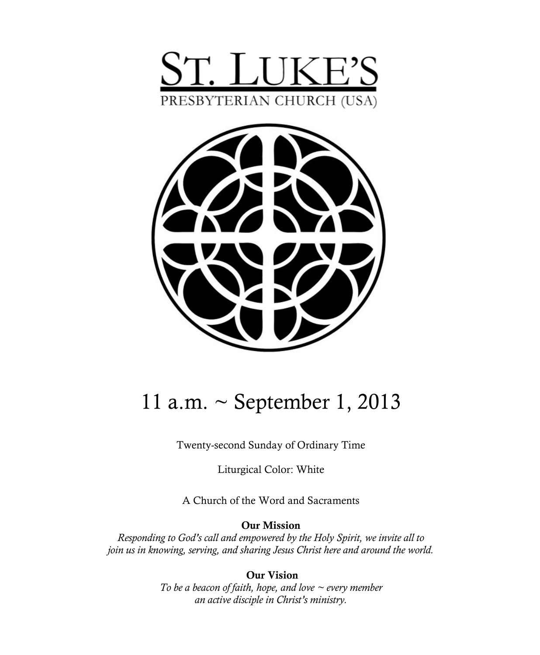



# 11 a.m. ~ September 1, 2013

Twenty-second Sunday of Ordinary Time

Liturgical Color: White

A Church of the Word and Sacraments

**Our Mission**

*Responding to God's call and empowered by the Holy Spirit, we invite all to join us in knowing, serving, and sharing Jesus Christ here and around the world.*

> **Our Vision** *To be a beacon of faith, hope, and love ~ every member an active disciple in Christ's ministry.*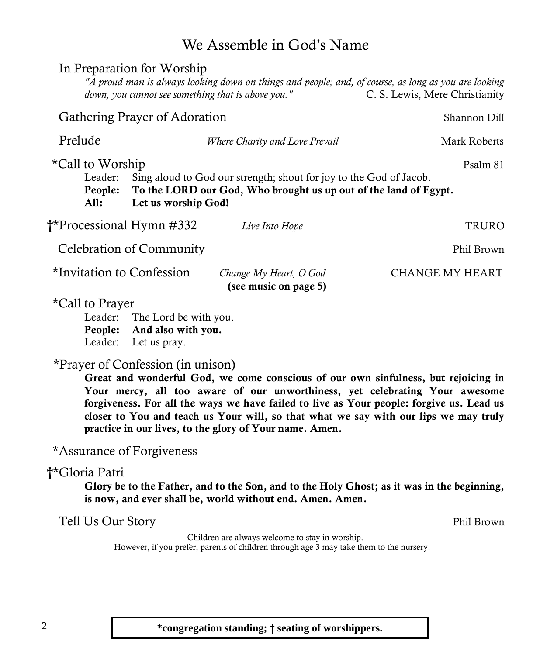### We Assemble in God's Name

|                                                                                                                                                                                                                             | In Preparation for Worship    | down, you cannot see something that is above you." | "A proud man is always looking down on things and people; and, of course, as long as you are looking<br>C. S. Lewis, Mere Christianity |  |  |
|-----------------------------------------------------------------------------------------------------------------------------------------------------------------------------------------------------------------------------|-------------------------------|----------------------------------------------------|----------------------------------------------------------------------------------------------------------------------------------------|--|--|
|                                                                                                                                                                                                                             | Gathering Prayer of Adoration |                                                    | Shannon Dill                                                                                                                           |  |  |
| Prelude                                                                                                                                                                                                                     |                               | Where Charity and Love Prevail                     | Mark Roberts                                                                                                                           |  |  |
| *Call to Worship<br>Psalm 81<br>Sing aloud to God our strength; shout for joy to the God of Jacob.<br>Leader:<br>To the LORD our God, Who brought us up out of the land of Egypt.<br>People:<br>A11:<br>Let us worship God! |                               |                                                    |                                                                                                                                        |  |  |
| <sup>*</sup> Processional Hymn #332                                                                                                                                                                                         |                               | Live Into Hope                                     | TRURO                                                                                                                                  |  |  |
| Celebration of Community<br>Phil Brown                                                                                                                                                                                      |                               |                                                    |                                                                                                                                        |  |  |
| *Invitation to Confession                                                                                                                                                                                                   |                               | Change My Heart, O God<br>(see music on page 5)    | CHANGE MY HEART                                                                                                                        |  |  |
| $*$ Call to Praver                                                                                                                                                                                                          |                               |                                                    |                                                                                                                                        |  |  |

Call to Fravel

Leader: The Lord be with you. **People: And also with you.** Leader: Let us pray.

### \*Prayer of Confession (in unison)

**Great and wonderful God, we come conscious of our own sinfulness, but rejoicing in Your mercy, all too aware of our unworthiness, yet celebrating Your awesome forgiveness. For all the ways we have failed to live as Your people: forgive us. Lead us closer to You and teach us Your will, so that what we say with our lips we may truly practice in our lives, to the glory of Your name. Amen.**

### \*Assurance of Forgiveness

### **†**\*Gloria Patri

**Glory be to the Father, and to the Son, and to the Holy Ghost; as it was in the beginning, is now, and ever shall be, world without end. Amen. Amen.**

| Tell Us Our Story |  |  | Phil Brown |
|-------------------|--|--|------------|
|                   |  |  |            |

Children are always welcome to stay in worship. However, if you prefer, parents of children through age 3 may take them to the nursery.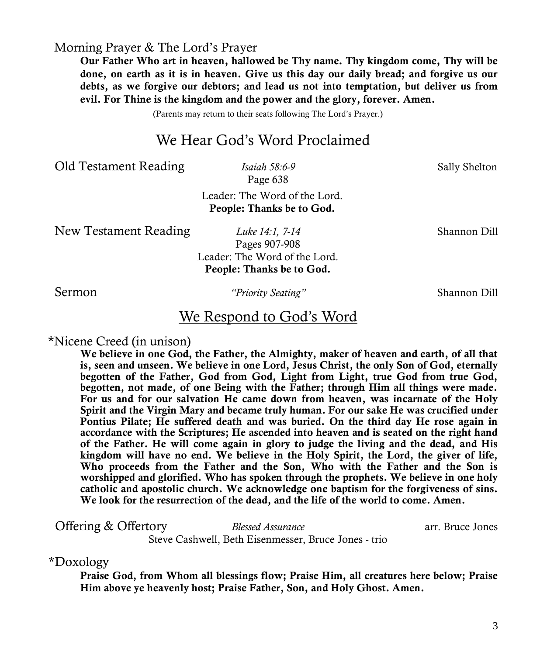Morning Prayer & The Lord's Prayer

**Our Father Who art in heaven, hallowed be Thy name. Thy kingdom come, Thy will be done, on earth as it is in heaven. Give us this day our daily bread; and forgive us our debts, as we forgive our debtors; and lead us not into temptation, but deliver us from evil. For Thine is the kingdom and the power and the glory, forever. Amen.**

(Parents may return to their seats following The Lord's Prayer.)

### We Hear God's Word Proclaimed

Old Testament Reading *Isaiah 58:6-9* Sally Shelton

Page 638

Leader: The Word of the Lord. **People: Thanks be to God.** 

New Testament Reading *Luke 14:1, 7-14* Shannon Dill

Pages 907-908 Leader: The Word of the Lord. **People: Thanks be to God.**

Sermon *"Priority Seating"* Shannon Dill

### We Respond to God's Word

#### \*Nicene Creed (in unison)

**We believe in one God, the Father, the Almighty, maker of heaven and earth, of all that is, seen and unseen. We believe in one Lord, Jesus Christ, the only Son of God, eternally begotten of the Father, God from God, Light from Light, true God from true God, begotten, not made, of one Being with the Father; through Him all things were made. For us and for our salvation He came down from heaven, was incarnate of the Holy Spirit and the Virgin Mary and became truly human. For our sake He was crucified under Pontius Pilate; He suffered death and was buried. On the third day He rose again in accordance with the Scriptures; He ascended into heaven and is seated on the right hand of the Father. He will come again in glory to judge the living and the dead, and His kingdom will have no end. We believe in the Holy Spirit, the Lord, the giver of life, Who proceeds from the Father and the Son, Who with the Father and the Son is worshipped and glorified. Who has spoken through the prophets. We believe in one holy catholic and apostolic church. We acknowledge one baptism for the forgiveness of sins. We look for the resurrection of the dead, and the life of the world to come. Amen.**

**Offering & Offertory** *Blessed Assurance* arr. Bruce Jones Steve Cashwell, Beth Eisenmesser, Bruce Jones - trio

\*Doxology

**Praise God, from Whom all blessings flow; Praise Him, all creatures here below; Praise Him above ye heavenly host; Praise Father, Son, and Holy Ghost. Amen.**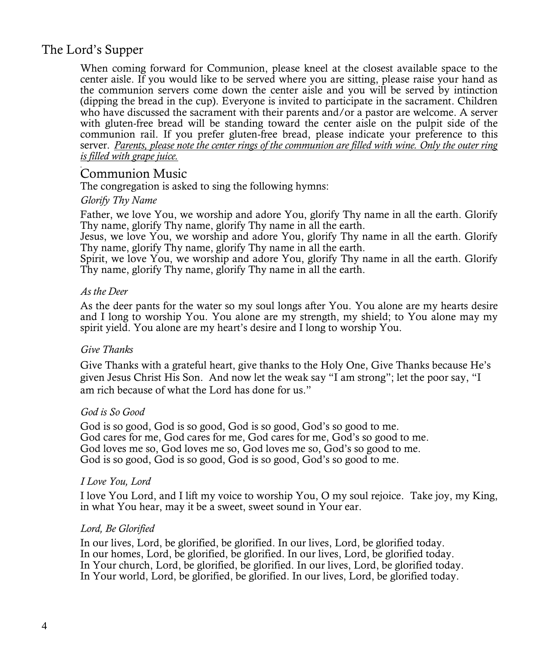### The Lord's Supper

When coming forward for Communion, please kneel at the closest available space to the center aisle. If you would like to be served where you are sitting, please raise your hand as the communion servers come down the center aisle and you will be served by intinction (dipping the bread in the cup). Everyone is invited to participate in the sacrament. Children who have discussed the sacrament with their parents and/or a pastor are welcome. A server with gluten-free bread will be standing toward the center aisle on the pulpit side of the communion rail. If you prefer gluten-free bread, please indicate your preference to this server. *Parents, please note the center rings of the communion are filled with wine. Only the outer ring is filled with grape juice.* 

### Communion Music

The congregation is asked to sing the following hymns:

#### *Glorify Thy Name*

Father, we love You, we worship and adore You, glorify Thy name in all the earth. Glorify Thy name, glorify Thy name, glorify Thy name in all the earth.

Jesus, we love You, we worship and adore You, glorify Thy name in all the earth. Glorify Thy name, glorify Thy name, glorify Thy name in all the earth.

Spirit, we love You, we worship and adore You, glorify Thy name in all the earth. Glorify Thy name, glorify Thy name, glorify Thy name in all the earth.

#### *As the Deer*

As the deer pants for the water so my soul longs after You. You alone are my hearts desire and I long to worship You. You alone are my strength, my shield; to You alone may my spirit yield. You alone are my heart's desire and I long to worship You.

#### *Give Thanks*

Give Thanks with a grateful heart, give thanks to the Holy One, Give Thanks because He's given Jesus Christ His Son. And now let the weak say "I am strong"; let the poor say, "I am rich because of what the Lord has done for us."

#### *God is So Good*

God is so good, God is so good, God is so good, God's so good to me. God cares for me, God cares for me, God cares for me, God's so good to me. God loves me so, God loves me so, God loves me so, God's so good to me. God is so good, God is so good, God is so good, God's so good to me.

#### *I Love You, Lord*

I love You Lord, and I lift my voice to worship You, O my soul rejoice. Take joy, my King, in what You hear, may it be a sweet, sweet sound in Your ear.

#### *Lord, Be Glorified*

In our lives, Lord, be glorified, be glorified. In our lives, Lord, be glorified today. In our homes, Lord, be glorified, be glorified. In our lives, Lord, be glorified today. In Your church, Lord, be glorified, be glorified. In our lives, Lord, be glorified today. In Your world, Lord, be glorified, be glorified. In our lives, Lord, be glorified today.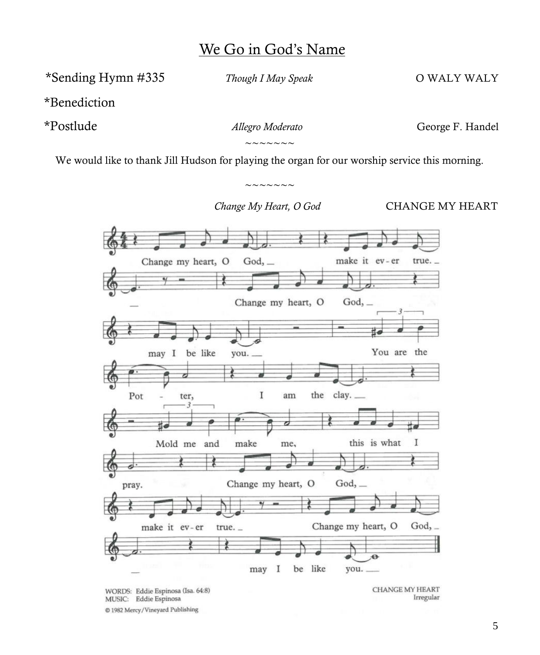### We Go in God's Name

\*Sending Hymn #335 *Though I May Speak* O WALY WALY

\*Benediction

\*Postlude *Allegro Moderato* George F. Handel

 $\sim\sim\sim\sim\sim\sim\sim$ 

We would like to thank Jill Hudson for playing the organ for our worship service this morning.

 $\sim\sim\sim\sim\sim\sim\sim$ 

*Change My Heart, O God* **CHANGE MY HEART** 



WORDS: Eddie Espinosa (Isa. 64:8) MUSIC: Eddie Espinosa @ 1982 Mercy/Vineyard Publishing

**CHANGE MY HEART** Irregular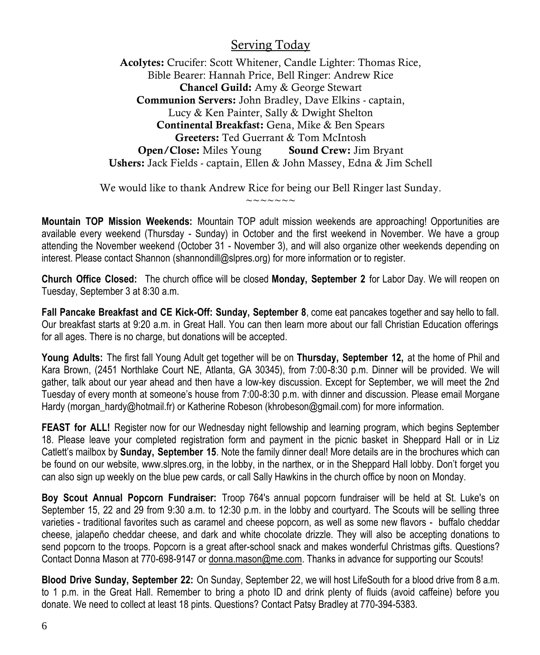### Serving Today

**Acolytes:** Crucifer: Scott Whitener, Candle Lighter: Thomas Rice, Bible Bearer: Hannah Price, Bell Ringer: Andrew Rice **Chancel Guild:** Amy & George Stewart **Communion Servers:** John Bradley, Dave Elkins - captain, Lucy & Ken Painter, Sally & Dwight Shelton **Continental Breakfast:** Gena, Mike & Ben Spears **Greeters:** Ted Guerrant & Tom McIntosh **Open/Close:** Miles Young **Sound Crew:** Jim Bryant **Ushers:** Jack Fields - captain, Ellen & John Massey, Edna & Jim Schell

We would like to thank Andrew Rice for being our Bell Ringer last Sunday.  $\sim$   $\sim$   $\sim$   $\sim$   $\sim$   $\sim$ 

**Mountain TOP Mission Weekends:** Mountain TOP adult mission weekends are approaching! Opportunities are available every weekend (Thursday - Sunday) in October and the first weekend in November. We have a group attending the November weekend (October 31 - November 3), and will also organize other weekends depending on interest. Please contact Shannon [\(shannondill@slpres.org\)](mailto:shannondill@slpres.org) for more information or to register.

**Church Office Closed:** The church office will be closed **Monday, September 2** for Labor Day. We will reopen on Tuesday, September 3 at 8:30 a.m.

**Fall Pancake Breakfast and CE Kick-Off: Sunday, September 8**, come eat pancakes together and say hello to fall. Our breakfast starts at 9:20 a.m. in Great Hall. You can then learn more about our fall Christian Education offerings for all ages. There is no charge, but donations will be accepted.

**Young Adults:** The first fall Young Adult get together will be on **Thursday, September 12,** at the home of Phil and Kara Brown, (2451 Northlake Court NE, Atlanta, GA 30345), from 7:00-8:30 p.m. Dinner will be provided. We will gather, talk about our year ahead and then have a low-key discussion. Except for September, we will meet the 2nd Tuesday of every month at someone's house from 7:00-8:30 p.m. with dinner and discussion. Please email Morgane Hardy (morgan\_hardy@hotmail.fr) or Katherine Robeson (khrobeson@gmail.com) for more information.

**FEAST for ALL!** Register now for our Wednesday night fellowship and learning program, which begins September 18. Please leave your completed registration form and payment in the picnic basket in Sheppard Hall or in Liz Catlett's mailbox by **Sunday, September 15**. Note the family dinner deal! More details are in the brochures which can be found on our website, [www.slpres.org,](http://www.slpres.org) in the lobby, in the narthex, or in the Sheppard Hall lobby. Don't forget you can also sign up weekly on the blue pew cards, or call Sally Hawkins in the church office by noon on Monday.

**Boy Scout Annual Popcorn Fundraiser:** Troop 764's annual popcorn fundraiser will be held at St. Luke's on September 15, 22 and 29 from 9:30 a.m. to 12:30 p.m. in the lobby and courtyard. The Scouts will be selling three varieties - traditional favorites such as caramel and cheese popcorn, as well as some new flavors - buffalo cheddar cheese, jalapeño cheddar cheese, and dark and white chocolate drizzle. They will also be accepting donations to send popcorn to the troops. Popcorn is a great after-school snack and makes wonderful Christmas gifts. Questions? Contact Donna Mason at 770-698-9147 or [donna.mason@me.com.](mailto:donna.mason@me.com) Thanks in advance for supporting our Scouts!

**Blood Drive Sunday, September 22:** On Sunday, September 22, we will host LifeSouth for a blood drive from 8 a.m. to 1 p.m. in the Great Hall. Remember to bring a photo ID and drink plenty of fluids (avoid caffeine) before you donate. We need to collect at least 18 pints. Questions? Contact Patsy Bradley at 770-394-5383.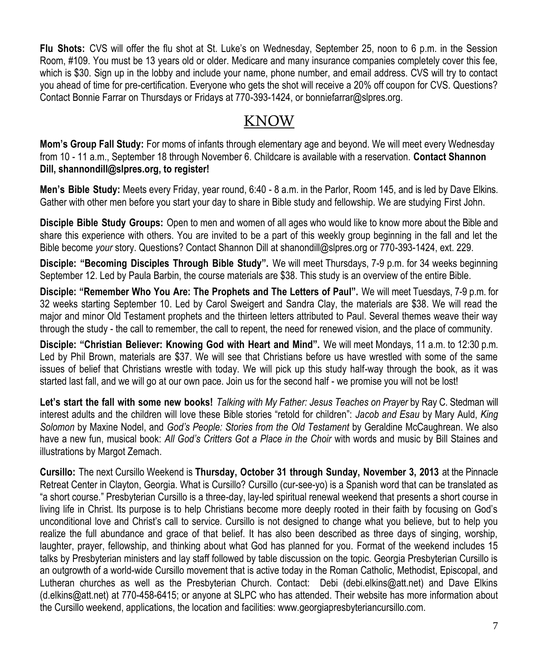**Flu Shots:** CVS will offer the flu shot at St. Luke's on Wednesday, September 25, noon to 6 p.m. in the Session Room, #109. You must be 13 years old or older. Medicare and many insurance companies completely cover this fee, which is \$30. Sign up in the lobby and include your name, phone number, and email address. CVS will try to contact you ahead of time for pre-certification. Everyone who gets the shot will receive a 20% off coupon for CVS. Questions? Contact Bonnie Farrar on Thursdays or Fridays at 770-393-1424, or bonniefarrar@slpres.org.

### KNOW

**Mom's Group Fall Study:** For moms of infants through elementary age and beyond. We will meet every Wednesday from 10 - 11 a.m., September 18 through November 6. Childcare is available with a reservation. **Contact Shannon Dill, shannondill@slpres.org, to register!** 

**Men's Bible Study:** Meets every Friday, year round, 6:40 - 8 a.m. in the Parlor, Room 145, and is led by Dave Elkins. Gather with other men before you start your day to share in Bible study and fellowship. We are studying First John.

**Disciple Bible Study Groups:** Open to men and women of all ages who would like to know more about the Bible and share this experience with others. You are invited to be a part of this weekly group beginning in the fall and let the Bible become *your* story. Questions? Contact Shannon Dill at shanondill@slpres.org or 770-393-1424, ext. 229.

**Disciple: "Becoming Disciples Through Bible Study".** We will meet Thursdays, 7-9 p.m. for 34 weeks beginning September 12. Led by Paula Barbin, the course materials are \$38. This study is an overview of the entire Bible.

**Disciple: "Remember Who You Are: The Prophets and The Letters of Paul".** We will meet Tuesdays, 7-9 p.m. for 32 weeks starting September 10. Led by Carol Sweigert and Sandra Clay, the materials are \$38. We will read the major and minor Old Testament prophets and the thirteen letters attributed to Paul. Several themes weave their way through the study - the call to remember, the call to repent, the need for renewed vision, and the place of community.

**Disciple: "Christian Believer: Knowing God with Heart and Mind".** We will meet Mondays, 11 a.m. to 12:30 p.m. Led by Phil Brown, materials are \$37. We will see that Christians before us have wrestled with some of the same issues of belief that Christians wrestle with today. We will pick up this study half-way through the book, as it was started last fall, and we will go at our own pace. Join us for the second half - we promise you will not be lost!

Let's start the fall with some new books! Talking with My Father: Jesus Teaches on Prayer by Ray C. Stedman will interest adults and the children will love these Bible stories "retold for children": *Jacob and Esau* by Mary Auld, *King Solomon* by Maxine Nodel, and *God's People: Stories from the Old Testament* by Geraldine McCaughrean. We also have a new fun, musical book: All God's Critters Got a Place in the Choir with words and music by Bill Staines and illustrations by Margot Zemach.

**Cursillo:** The next Cursillo Weekend is **Thursday, October 31 through Sunday, November 3, 2013** at the Pinnacle Retreat Center in Clayton, Georgia. What is Cursillo? Cursillo (cur-see-yo) is a Spanish word that can be translated as "a short course." Presbyterian Cursillo is a three-day, lay-led spiritual renewal weekend that presents a short course in living life in Christ. Its purpose is to help Christians become more deeply rooted in their faith by focusing on God's unconditional love and Christ's call to service. Cursillo is not designed to change what you believe, but to help you realize the full abundance and grace of that belief. It has also been described as three days of singing, worship, laughter, prayer, fellowship, and thinking about what God has planned for you. Format of the weekend includes 15 talks by Presbyterian ministers and lay staff followed by table discussion on the topic. Georgia Presbyterian Cursillo is an outgrowth of a world-wide Cursillo movement that is active today in the Roman Catholic, Methodist, Episcopal, and Lutheran churches as well as the Presbyterian Church. Contact: Debi [\(debi.elkins@att.net\)](mailto:debi.elkins@att.net) and Dave Elkins [\(d.elkins@att.net\)](mailto:d.elkins@att.net) at 770-458-6415; or anyone at SLPC who has attended. Their website has more information about the Cursillo weekend, applications, the location and facilities: [www.g](http://www.signupgenius.com/go/805084CAFAF28A75-slpc3)eorgiapresbyteriancursillo.com.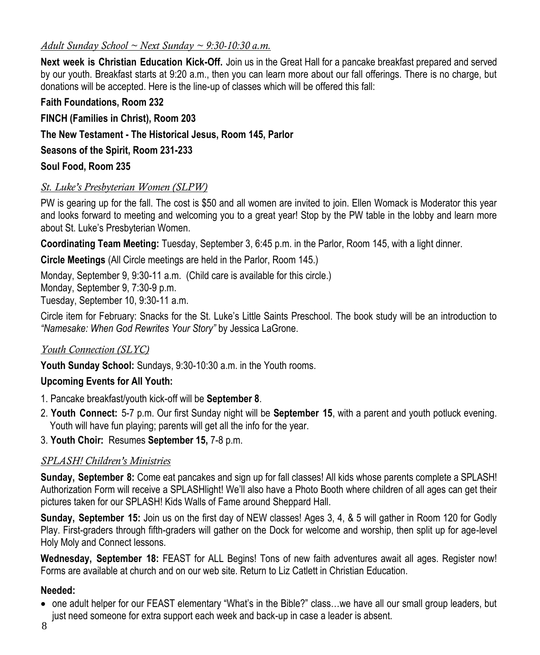### *Adult Sunday School ~ Next Sunday ~ 9:30-10:30 a.m.*

**Next week is Christian Education Kick-Off.** Join us in the Great Hall for a pancake breakfast prepared and served by our youth. Breakfast starts at 9:20 a.m., then you can learn more about our fall offerings. There is no charge, but donations will be accepted. Here is the line-up of classes which will be offered this fall:

**Faith Foundations, Room 232 FINCH (Families in Christ), Room 203 The New Testament - The Historical Jesus, Room 145, Parlor Seasons of the Spirit, Room 231-233 Soul Food, Room 235**

### *St. Luke's Presbyterian Women (SLPW)*

PW is gearing up for the fall. The cost is \$50 and all women are invited to join. Ellen Womack is Moderator this year and looks forward to meeting and welcoming you to a great year! Stop by the PW table in the lobby and learn more about St. Luke's Presbyterian Women.

**Coordinating Team Meeting:** Tuesday, September 3, 6:45 p.m. in the Parlor, Room 145, with a light dinner.

**Circle Meetings** (All Circle meetings are held in the Parlor, Room 145.)

Monday, September 9, 9:30-11 a.m. (Child care is available for this circle.) Monday, September 9, 7:30-9 p.m. Tuesday, September 10, 9:30-11 a.m.

Circle item for February: Snacks for the St. Luke's Little Saints Preschool. The book study will be an introduction to *"Namesake: When God Rewrites Your Story"* by Jessica LaGrone.

### *Youth Connection (SLYC)*

**Youth Sunday School:** Sundays, 9:30-10:30 a.m. in the Youth rooms.

### **Upcoming Events for All Youth:**

- 1. Pancake breakfast/youth kick-off will be **September 8**.
- 2. **Youth Connect:** 5-7 p.m. Our first Sunday night will be **September 15**, with a parent and youth potluck evening. Youth will have fun playing; parents will get all the info for the year.
- 3. **Youth Choir:** Resumes **September 15,** 7-8 p.m.

### *SPLASH! Children's Ministries*

**Sunday, September 8:** Come eat pancakes and sign up for fall classes! All kids whose parents complete a SPLASH! Authorization Form will receive a SPLASHlight! We'll also have a Photo Booth where children of all ages can get their pictures taken for our SPLASH! Kids Walls of Fame around Sheppard Hall.

**Sunday, September 15:** Join us on the first day of NEW classes! Ages 3, 4, & 5 will gather in Room 120 for Godly Play. First-graders through fifth-graders will gather on the Dock for welcome and worship, then split up for age-level Holy Moly and Connect lessons.

**Wednesday, September 18:** FEAST for ALL Begins! Tons of new faith adventures await all ages. Register now! Forms are available at church and on our web site. Return to Liz Catlett in Christian Education.

### **Needed:**

 one adult helper for our FEAST elementary "What's in the Bible?" class…we have all our small group leaders, but just need someone for extra support each week and back-up in case a leader is absent.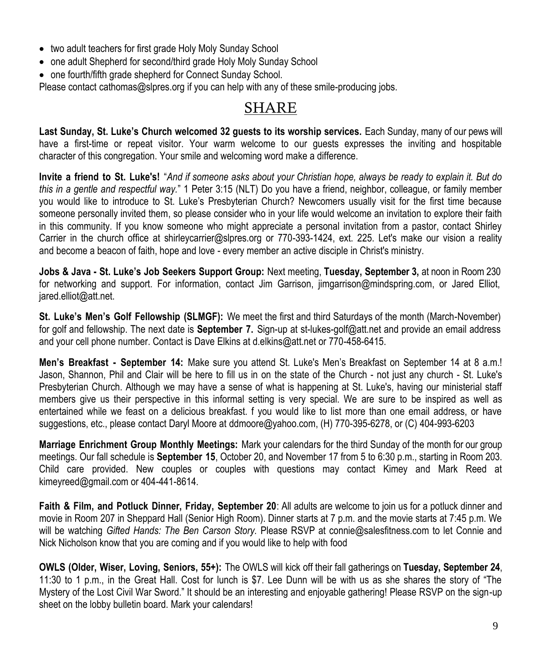- two adult teachers for first grade Holy Moly Sunday School
- one adult Shepherd for second/third grade Holy Moly Sunday School
- one fourth/fifth grade shepherd for Connect Sunday School.

Please contact [cathomas@slpres.org](mailto:cathomas@slpres.org) if you can help with any of these smile-producing jobs.

### SHARE

**Last Sunday, St. Luke's Church welcomed 32 guests to its worship services.** Each Sunday, many of our pews will have a first-time or repeat visitor. Your warm welcome to our guests expresses the inviting and hospitable character of this congregation. Your smile and welcoming word make a difference.

**Invite a friend to St. Luke's!** "*And if someone asks about your Christian hope, always be ready to explain it. But do this in a gentle and respectful way.*" 1 Peter 3:15 (NLT) Do you have a friend, neighbor, colleague, or family member you would like to introduce to St. Luke's Presbyterian Church? Newcomers usually visit for the first time because someone personally invited them, so please consider who in your life would welcome an invitation to explore their faith in this community. If you know someone who might appreciate a personal invitation from a pastor, contact Shirley Carrier in the church office at shirleycarrier@slpres.org or 770-393-1424, ext. 225. Let's make our vision a reality and become a beacon of faith, hope and love - every member an active disciple in Christ's ministry.

**Jobs & Java - St. Luke's Job Seekers Support Group:** Next meeting, **Tuesday, September 3,** at noon in Room 230 for networking and support. For information, contact Jim Garrison, jimgarrison@mindspring.com, or Jared Elliot, jared.elliot@att.net.

**St. Luke's Men's Golf Fellowship (SLMGF):** We meet the first and third Saturdays of the month (March-November) for golf and fellowship. The next date is **September 7.** Sign-up at st-lukes-golf@att.net and provide an email address and your cell phone number. Contact is Dave Elkins at d.elkins@att.net or 770-458-6415.

**Men's Breakfast - September 14:** Make sure you attend St. Luke's Men's Breakfast on September 14 at 8 a.m.! Jason, Shannon, Phil and Clair will be here to fill us in on the state of the Church - not just any church - St. Luke's Presbyterian Church. Although we may have a sense of what is happening at St. Luke's, having our ministerial staff members give us their perspective in this informal setting is very special. We are sure to be inspired as well as entertained while we feast on a delicious breakfast. f you would like to list more than one email address, or have suggestions, etc., please contact Daryl Moore at [ddmoore@yahoo.com,](mailto:ddmoore@yahoo.com) (H) 770-395-6278, or (C) 404-993-6203

**Marriage Enrichment Group Monthly Meetings:** Mark your calendars for the third Sunday of the month for our group meetings. Our fall schedule is **September 15**, October 20, and November 17 from 5 to 6:30 p.m., starting in Room 203. Child care provided. New couples or couples with questions may contact Kimey and Mark Reed at kimeyreed@gmail.com or 404-441-8614.

**Faith & Film, and Potluck Dinner, Friday, September 20**: All adults are welcome to join us for a potluck dinner and movie in Room 207 in Sheppard Hall (Senior High Room). Dinner starts at 7 p.m. and the movie starts at 7:45 p.m. We will be watching *Gifted Hands: The Ben Carson Story.* Please RSVP at connie@salesfitness.com to let Connie and Nick Nicholson know that you are coming and if you would like to help with food

**OWLS (Older, Wiser, Loving, Seniors, 55+):** The OWLS will kick off their fall gatherings on **Tuesday, September 24**, 11:30 to 1 p.m., in the Great Hall. Cost for lunch is \$7. Lee Dunn will be with us as she shares the story of "The Mystery of the Lost Civil War Sword." It should be an interesting and enjoyable gathering! Please RSVP on the sign-up sheet on the lobby bulletin board. Mark your calendars!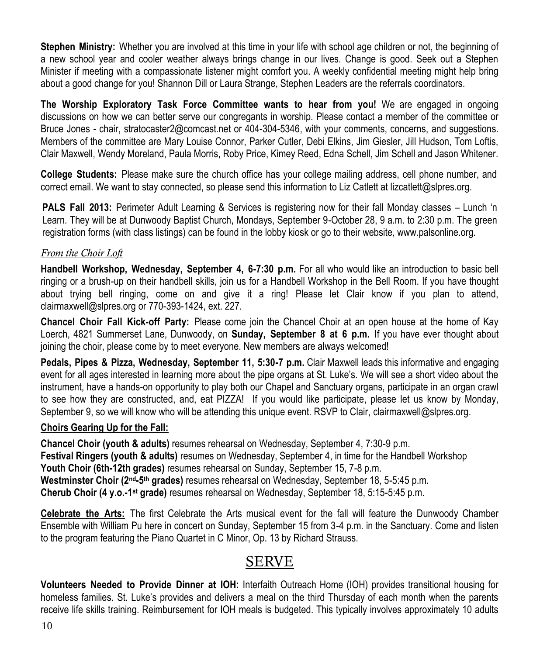**Stephen Ministry:** Whether you are involved at this time in your life with school age children or not, the beginning of a new school year and cooler weather always brings change in our lives. Change is good. Seek out a Stephen Minister if meeting with a compassionate listener might comfort you. A weekly confidential meeting might help bring about a good change for you! Shannon Dill or Laura Strange, Stephen Leaders are the referrals coordinators.

**The Worship Exploratory Task Force Committee wants to hear from you!** We are engaged in ongoing discussions on how we can better serve our congregants in worship. Please contact a member of the committee or Bruce Jones - chair, [stratocaster2@comcast.net](mailto:stratocaster2@comcast.net) or 404-304-5346, with your comments, concerns, and suggestions. Members of the committee are Mary Louise Connor, Parker Cutler, Debi Elkins, Jim Giesler, Jill Hudson, Tom Loftis, Clair Maxwell, Wendy Moreland, Paula Morris, Roby Price, Kimey Reed, Edna Schell, Jim Schell and Jason Whitener.

**College Students:** Please make sure the church office has your college mailing address, cell phone number, and correct email. We want to stay connected, so please send this information to Liz Catlett at lizcatlett@slpres.org.

**PALS Fall 2013:** Perimeter Adult Learning & Services is registering now for their fall Monday classes – Lunch 'n Learn. They will be at Dunwoody Baptist Church, Mondays, September 9-October 28, 9 a.m. to 2:30 p.m. The green registration forms (with class listings) can be found in the lobby kiosk or go to their website, [www.palsonline.org.](http://www.palsonline.org)

### *From the Choir Loft*

**Handbell Workshop, Wednesday, September 4, 6-7:30 p.m.** For all who would like an introduction to basic bell ringing or a brush-up on their handbell skills, join us for a Handbell Workshop in the Bell Room. If you have thought about trying bell ringing, come on and give it a ring! Please let Clair know if you plan to attend, [clairmaxwell@slpres.org](mailto:clairmaxwell@slpres.org) or 770-393-1424, ext. 227.

**Chancel Choir Fall Kick-off Party:** Please come join the Chancel Choir at an open house at the home of Kay Loerch, 4821 Summerset Lane, Dunwoody, on **Sunday, September 8 at 6 p.m.** If you have ever thought about joining the choir, please come by to meet everyone. New members are always welcomed!

**Pedals, Pipes & Pizza, Wednesday, September 11, 5:30-7 p.m.** Clair Maxwell leads this informative and engaging event for all ages interested in learning more about the pipe organs at St. Luke's. We will see a short video about the instrument, have a hands-on opportunity to play both our Chapel and Sanctuary organs, participate in an organ crawl to see how they are constructed, and, eat PIZZA! If you would like participate, please let us know by Monday, September 9, so we will know who will be attending this unique event. RSVP to Clair, [clairmaxwell@slpres.org.](mailto:clairmaxwell@slpres.org)

### **Choirs Gearing Up for the Fall:**

**Chancel Choir (youth & adults)** resumes rehearsal on Wednesday, September 4, 7:30-9 p.m. **Festival Ringers (youth & adults)** resumes on Wednesday, September 4, in time for the Handbell Workshop **Youth Choir (6th-12th grades)** resumes rehearsal on Sunday, September 15, 7-8 p.m. **Westminster Choir (2nd-5 th grades)** resumes rehearsal on Wednesday, September 18, 5-5:45 p.m. **Cherub Choir (4 y.o.-1 st grade)** resumes rehearsal on Wednesday, September 18, 5:15-5:45 p.m.

**Celebrate the Arts:** The first Celebrate the Arts musical event for the fall will feature the Dunwoody Chamber Ensemble with William Pu here in concert on Sunday, September 15 from 3-4 p.m. in the Sanctuary. Come and listen to the program featuring the Piano Quartet in C Minor, Op. 13 by Richard Strauss.

### SERVE

**Volunteers Needed to Provide Dinner at IOH:** Interfaith Outreach Home (IOH) provides transitional housing for homeless families. St. Luke's provides and delivers a meal on the third Thursday of each month when the parents receive life skills training. Reimbursement for IOH meals is budgeted. This typically involves approximately 10 adults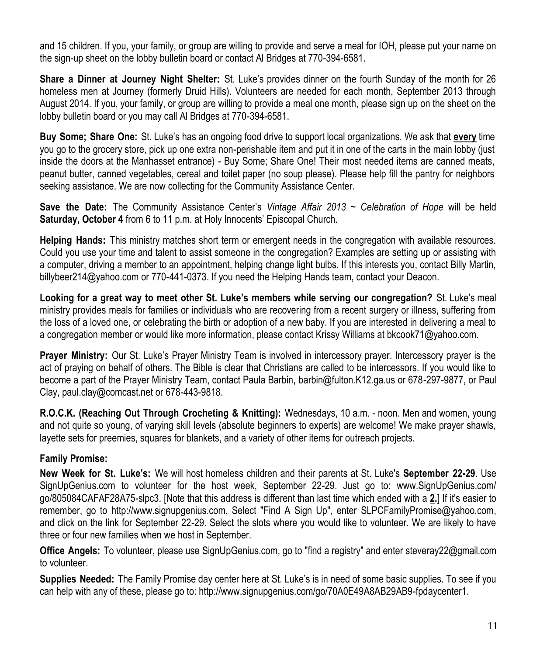and 15 children. If you, your family, or group are willing to provide and serve a meal for IOH, please put your name on the sign-up sheet on the lobby bulletin board or contact Al Bridges at 770-394-6581.

**Share a Dinner at Journey Night Shelter:** St. Luke's provides dinner on the fourth Sunday of the month for 26 homeless men at Journey (formerly Druid Hills). Volunteers are needed for each month, September 2013 through August 2014. If you, your family, or group are willing to provide a meal one month, please sign up on the sheet on the lobby bulletin board or you may call Al Bridges at 770-394-6581.

**Buy Some; Share One:** St. Luke's has an ongoing food drive to support local organizations. We ask that **every** time you go to the grocery store, pick up one extra non-perishable item and put it in one of the carts in the main lobby (just inside the doors at the Manhasset entrance) - Buy Some; Share One! Their most needed items are canned meats, peanut butter, canned vegetables, cereal and toilet paper (no soup please). Please help fill the pantry for neighbors seeking assistance. We are now collecting for the Community Assistance Center.

**Save the Date:** The Community Assistance Center's *Vintage Affair 2013 ~ Celebration of Hope* will be held **Saturday, October 4** from 6 to 11 p.m. at Holy Innocents' Episcopal Church.

**Helping Hands:** This ministry matches short term or emergent needs in the congregation with available resources. Could you use your time and talent to assist someone in the congregation? Examples are setting up or assisting with a computer, driving a member to an appointment, helping change light bulbs. If this interests you, contact Billy Martin, billybeer214@yahoo.com or 770-441-0373. If you need the Helping Hands team, contact your Deacon.

**Looking for a great way to meet other St. Luke's members while serving our congregation?** St. Luke's meal ministry provides meals for families or individuals who are recovering from a recent surgery or illness, suffering from the loss of a loved one, or celebrating the birth or adoption of a new baby. If you are interested in delivering a meal to a congregation member or would like more information, please contact Krissy Williams at bkcook71@yahoo.com.

**Prayer Ministry:** Our St. Luke's Prayer Ministry Team is involved in intercessory prayer. Intercessory prayer is the act of praying on behalf of others. The Bible is clear that Christians are called to be intercessors. If you would like to become a part of the Prayer Ministry Team, contact Paula Barbin, barbin@fulton.K12.ga.us or 678-297-9877, or Paul Clay, paul.clay@comcast.net or 678-443-9818.

**R.O.C.K. (Reaching Out Through Crocheting & Knitting):** Wednesdays, 10 a.m. - noon. Men and women, young and not quite so young, of varying skill levels (absolute beginners to experts) are welcome! We make prayer shawls, layette sets for preemies, squares for blankets, and a variety of other items for outreach projects.

### **Family Promise:**

**New Week for St. Luke's:** We will host homeless children and their parents at St. Luke's **September 22-29**. Use [SignUpGenius.com](http://signupgenius.com/) to volunteer for the host week, September 22-29. Just go to: [www.SignUpGenius.com/](http://www.signupgenius.com/go/805084CAFAF28A75-slpc3) [go/805084CAFAF28A75-slpc3.](http://www.signupgenius.com/go/805084CAFAF28A75-slpc3) [Note that this address is different than last time which ended with a **2.**] If it's easier to remember, go to [http://www.signupgenius.com,](http://www.signupgenius.com/) Select "Find A Sign Up", enter [SLPCFamilyPromise@yahoo.com,](mailto:SLPCFamilyPromise@yahoo.com)  and click on the link for September 22-29. Select the slots where you would like to volunteer. We are likely to have three or four new families when we host in September.

**Office Angels:** To volunteer, please use SignUpGenius.com, go to "find a registry" and enter [steveray22@gmail.com](mailto:steveray22@gmail.com) to volunteer.

**Supplies Needed:** The Family Promise day center here at St. Luke's is in need of some basic supplies. To see if you can help with any of these, please go to: http://www.signupgenius.com/go/70A0E49A8AB29AB9-fpdaycenter1.